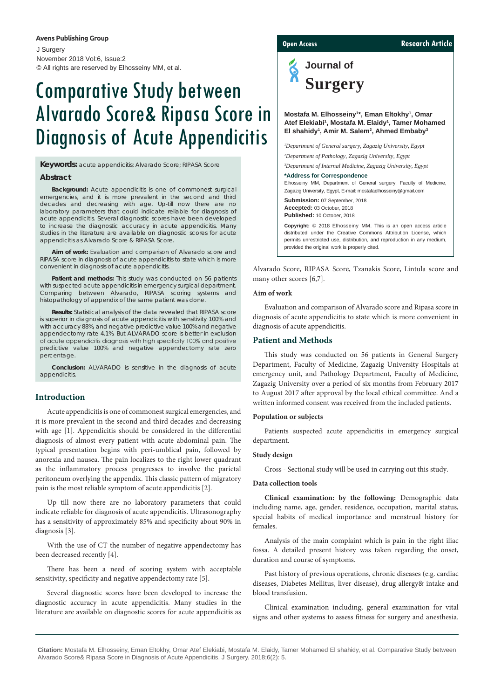# **Avens Publishing Group**

J Surgery November 2018 Vol:6, Issue:2 © All rights are reserved by Elhosseiny MM, et al.

# Comparative Study between Alvarado Score& Ripasa Score in Diagnosis of Acute Appendicitis

**Keywords:** acute appendicitis; Alvarado Score; RIPASA Score

# **Abstract**

**Background:** Acute appendicitis is one of commonest surgical emergencies, and it is more prevalent in the second and third decades and decreasing with age. Up-till now there are no laboratory parameters that could indicate reliable for diagnosis of acute appendicitis. Several diagnostic scores have been developed to increase the diagnostic accuracy in acute appendicitis. Many studies in the literature are available on diagnostic scores for acute appendicitis as Alvarado Score & RIPASA Score.

**Aim of work:** Evaluation and comparison of Alvarado score and RIPASA score in diagnosis of acute appendicitis to state which is more convenient in diagnosis of acute appendicitis.

Patient and methods: This study was conducted on 56 patients with suspected acute appendicitis in emergency surgical department. Comparing between Alvarado, RIPASA scoring systems and histopathology of appendix of the same patient was done.

**Results:** Statistical analysis of the data revealed that RIPASA score is superior in diagnosis of acute appendicitis with sensitivity 100% and with accuracy 88%, and negative predictive value 100% and negative appendectomy rate 4.1%. But ALVARADO score is better in exclusion of acute appendicitis diagnosis with high specificity 100% and positive predictive value 100% and negative appendectomy rate zero percentage.

**Conclusion:** ALVARADO is sensitive in the diagnosis of acute appendicitis.

# **Introduction**

Acute appendicitis is one of commonest surgical emergencies, and it is more prevalent in the second and third decades and decreasing with age [1]. Appendicitis should be considered in the differential diagnosis of almost every patient with acute abdominal pain. The typical presentation begins with peri-umblical pain, followed by anorexia and nausea. The pain localizes to the right lower quadrant as the inflammatory process progresses to involve the parietal peritoneum overlying the appendix. This classic pattern of migratory pain is the most reliable symptom of acute appendicitis [2].

Up till now there are no laboratory parameters that could indicate reliable for diagnosis of acute appendicitis. Ultrasonography has a sensitivity of approximately 85% and specificity about 90% in diagnosis [3].

With the use of CT the number of negative appendectomy has been decreased recently [4].

There has been a need of scoring system with acceptable sensitivity, specificity and negative appendectomy rate [5].

Several diagnostic scores have been developed to increase the diagnostic accuracy in acute appendicitis. Many studies in the literature are available on diagnostic scores for acute appendicitis as

**Open Access Research Article** 

**Journal of Surgery**

Mostafa M. Elhosseiny<sup>1\*</sup>, Eman Eltokhy<sup>1</sup>, Omar **Atef Elekiabi1 , Mostafa M. Elaidy1 , Tamer Mohamed El shahidy1 , Amir M. Salem2 , Ahmed Embaby3**

*1 Department of General surgery, Zagazig University, Egypt 2 Department of Pathology, Zagazig University, Egypt*

*3 Department of Internal Medicine, Zagazig University, Egypt*

# **\*Address for Correspondence**

Elhosseiny MM, Department of General surgery, Faculty of Medicine, Zagazig University, Egypt, E-mail: mostafaelhosseiny@gmail.com

**Submission:** 07 September, 2018 **Accepted:** 03 October, 2018 **Published:** 10 October, 2018

**Copyright:** © 2018 Elhosseiny MM. This is an open access article distributed under the Creative Commons Attribution License, which permits unrestricted use, distribution, and reproduction in any medium, provided the original work is properly cited.

Alvarado Score, RIPASA Score, Tzanakis Score, Lintula score and many other scores [6,7].

#### **Aim of work**

Evaluation and comparison of Alvarado score and Ripasa score in diagnosis of acute appendicitis to state which is more convenient in diagnosis of acute appendicitis.

# **Patient and Methods**

This study was conducted on 56 patients in General Surgery Department, Faculty of Medicine, Zagazig University Hospitals at emergency unit, and Pathology Department, Faculty of Medicine, Zagazig University over a period of six months from February 2017 to August 2017 after approval by the local ethical committee. And a written informed consent was received from the included patients.

## **Population or subjects**

Patients suspected acute appendicitis in emergency surgical department.

#### **Study design**

Cross - Sectional study will be used in carrying out this study.

## **Data collection tools**

**Clinical examination: by the following:** Demographic data including name, age, gender, residence, occupation, marital status, special habits of medical importance and menstrual history for females.

Analysis of the main complaint which is pain in the right iliac fossa. A detailed present history was taken regarding the onset, duration and course of symptoms.

Past history of previous operations, chronic diseases (e.g. cardiac diseases, Diabetes Mellitus, liver disease), drug allergy& intake and blood transfusion.

Clinical examination including, general examination for vital signs and other systems to assess fitness for surgery and anesthesia.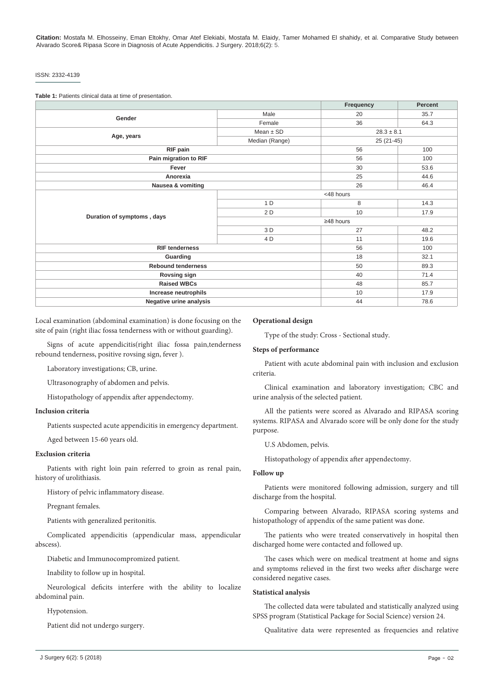### ISSN: 2332-4139

**Table 1:** Patients clinical data at time of presentation.

|                            |                 | Frequency      | Percent |
|----------------------------|-----------------|----------------|---------|
| Gender                     | Male            | 20             | 35.7    |
|                            | Female          | 36             | 64.3    |
|                            | $Mean \pm SD$   | $28.3 \pm 8.1$ |         |
| Age, years                 | Median (Range)  | $25(21-45)$    |         |
| RIF pain                   |                 | 56             | 100     |
| Pain migration to RIF      |                 | 56             | 100     |
| Fever                      |                 | 30             | 53.6    |
| Anorexia                   |                 | 25             | 44.6    |
| Nausea & vomiting          |                 | 26             | 46.4    |
|                            | <48 hours       |                |         |
|                            | 1 D             | 8              | 14.3    |
|                            | 2 D             | 10             | 17.9    |
| Duration of symptoms, days | $\geq$ 48 hours |                |         |
|                            | 3 D             | 27             | 48.2    |
|                            | 4 D             | 11             | 19.6    |
| <b>RIF tenderness</b>      |                 | 56             | 100     |
| Guarding                   |                 | 18             | 32.1    |
| <b>Rebound tenderness</b>  |                 | 50             | 89.3    |
| <b>Rovsing sign</b>        |                 | 40             | 71.4    |
| <b>Raised WBCs</b>         |                 | 48             | 85.7    |
| Increase neutrophils       |                 | 10             | 17.9    |
| Negative urine analysis    |                 | 44             | 78.6    |

Local examination (abdominal examination) is done focusing on the site of pain (right iliac fossa tenderness with or without guarding).

Signs of acute appendicitis(right iliac fossa pain,tenderness rebound tenderness, positive rovsing sign, fever ).

Laboratory investigations; CB, urine.

Ultrasonography of abdomen and pelvis.

Histopathology of appendix after appendectomy.

## **Inclusion criteria**

Patients suspected acute appendicitis in emergency department.

Aged between 15-60 years old.

# **Exclusion criteria**

Patients with right loin pain referred to groin as renal pain, history of urolithiasis.

History of pelvic inflammatory disease.

Pregnant females.

Patients with generalized peritonitis.

Complicated appendicitis (appendicular mass, appendicular abscess).

Diabetic and Immunocompromized patient.

Inability to follow up in hospital.

Neurological deficits interfere with the ability to localize abdominal pain.

Hypotension.

Patient did not undergo surgery.

# **Operational design**

Type of the study: Cross - Sectional study.

# **Steps of performance**

Patient with acute abdominal pain with inclusion and exclusion criteria.

Clinical examination and laboratory investigation; CBC and urine analysis of the selected patient.

All the patients were scored as Alvarado and RIPASA scoring systems. RIPASA and Alvarado score will be only done for the study purpose.

U.S Abdomen, pelvis.

Histopathology of appendix after appendectomy.

## **Follow up**

Patients were monitored following admission, surgery and till discharge from the hospital.

Comparing between Alvarado, RIPASA scoring systems and histopathology of appendix of the same patient was done.

The patients who were treated conservatively in hospital then discharged home were contacted and followed up.

The cases which were on medical treatment at home and signs and symptoms relieved in the first two weeks after discharge were considered negative cases.

# **Statistical analysis**

The collected data were tabulated and statistically analyzed using SPSS program (Statistical Package for Social Science) version 24.

Qualitative data were represented as frequencies and relative

J Surgery 6(2): 5 (2018) Page - 02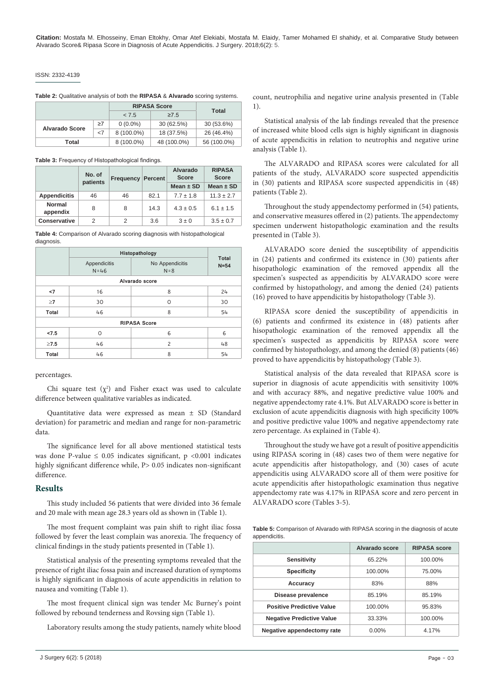# ISSN: 2332-4139

|  |  | Table 2: Qualitative analysis of both the RIPASA & Alvarado scoring systems. |  |
|--|--|------------------------------------------------------------------------------|--|
|--|--|------------------------------------------------------------------------------|--|

|                       |          | <b>RIPASA Score</b> |             | Total       |
|-----------------------|----------|---------------------|-------------|-------------|
|                       |          | < 7.5               | $\geq 7.5$  |             |
| <b>Alvarado Score</b> | $\geq 7$ | $0(0.0\%)$          | 30 (62.5%)  | 30 (53.6%)  |
|                       | $<$ 7    | 8 (100.0%)          | 18 (37.5%)  | 26 (46.4%)  |
| Total                 |          | 8 (100.0%)          | 48 (100.0%) | 56 (100.0%) |

**Table 3:** Frequency of Histopathological findings.

|                     | No. of<br>patients |    | <b>Frequency Percent</b> | Alvarado<br><b>Score</b> | <b>RIPASA</b><br><b>Score</b> |
|---------------------|--------------------|----|--------------------------|--------------------------|-------------------------------|
|                     |                    |    |                          | Mean $\pm$ SD            | Mean $\pm$ SD                 |
| <b>Appendicitis</b> | 46                 | 46 | 82.1                     | $7.7 \pm 1.8$            | $11.3 \pm 2.7$                |
| Normal<br>appendix  | 8                  | 8  | 14.3                     | $4.3 \pm 0.5$            | $6.1 \pm 1.5$                 |
| Conservative        | 2                  | 2  | 3.6                      | $3 \pm 0$                | $3.5 \pm 0.7$                 |

**Table 4:** Comparison of Alvarado scoring diagnosis with histopathological diagnosis.

|                     | Histopathology           |                            |                        |  |  |
|---------------------|--------------------------|----------------------------|------------------------|--|--|
|                     | Appendicitis<br>$N = 46$ | No Appendicitis<br>$N = 8$ | <b>Total</b><br>$N=54$ |  |  |
| Alvarado score      |                          |                            |                        |  |  |
| <7                  | 16                       | 8                          | 24                     |  |  |
| $\geq$ 7            | 30                       | O                          | 30                     |  |  |
| Total               | 46                       | 8                          | 54                     |  |  |
| <b>RIPASA Score</b> |                          |                            |                        |  |  |
| 27.5                | O                        | 6                          | 6                      |  |  |
| $\geq 7.5$          | 46                       | $\overline{c}$             | 48                     |  |  |
| Total               | 46                       | 8                          | 54                     |  |  |

percentages.

Chi square test  $(\chi^2)$  and Fisher exact was used to calculate difference between qualitative variables as indicated.

Quantitative data were expressed as mean ± SD (Standard deviation) for parametric and median and range for non-parametric data.

The significance level for all above mentioned statistical tests was done P-value  $\leq 0.05$  indicates significant, p <0.001 indicates highly significant difference while, P > 0.05 indicates non-significant difference.

# **Results**

This study included 56 patients that were divided into 36 female and 20 male with mean age 28.3 years old as shown in (Table 1).

The most frequent complaint was pain shift to right iliac fossa followed by fever the least complain was anorexia. The frequency of clinical findings in the study patients presented in (Table 1).

Statistical analysis of the presenting symptoms revealed that the presence of right iliac fossa pain and increased duration of symptoms is highly significant in diagnosis of acute appendicitis in relation to nausea and vomiting (Table 1).

The most frequent clinical sign was tender Mc Burney's point followed by rebound tenderness and Rovsing sign (Table 1).

Laboratory results among the study patients, namely white blood

count, neutrophilia and negative urine analysis presented in (Table 1).

Statistical analysis of the lab findings revealed that the presence of increased white blood cells sign is highly significant in diagnosis of acute appendicitis in relation to neutrophis and negative urine analysis (Table 1).

The ALVARADO and RIPASA scores were calculated for all patients of the study, ALVARADO score suspected appendicitis in (30) patients and RIPASA score suspected appendicitis in (48) patients (Table 2).

Throughout the study appendectomy performed in (54) patients, and conservative measures offered in (2) patients. The appendectomy specimen underwent histopathologic examination and the results presented in (Table 3).

ALVARADO score denied the susceptibility of appendicitis in (24) patients and confirmed its existence in (30) patients after hisopathologic examination of the removed appendix all the specimen's suspected as appendicitis by ALVARADO score were confirmed by histopathology, and among the denied (24) patients (16) proved to have appendicitis by histopathology (Table 3).

RIPASA score denied the susceptibility of appendicitis in (6) patients and confirmed its existence in (48) patients after hisopathologic examination of the removed appendix all the specimen's suspected as appendicitis by RIPASA score were confirmed by histopathology, and among the denied (8) patients (46) proved to have appendicitis by histopathology (Table 3).

Statistical analysis of the data revealed that RIPASA score is superior in diagnosis of acute appendicitis with sensitivity 100% and with accuracy 88%, and negative predictive value 100% and negative appendectomy rate 4.1%. But ALVARADO score is better in exclusion of acute appendicitis diagnosis with high specificity 100% and positive predictive value 100% and negative appendectomy rate zero percentage. As explained in (Table 4).

Throughout the study we have got a result of positive appendicitis using RIPASA scoring in (48) cases two of them were negative for acute appendicitis after histopathology, and (30) cases of acute appendicitis using ALVARADO score all of them were positive for acute appendicitis after histopathologic examination thus negative appendectomy rate was 4.17% in RIPASA score and zero percent in ALVARADO score (Tables 3-5).

**Table 5:** Comparison of Alvarado with RIPASA scoring in the diagnosis of acute appendicitis.

|                                  | Alvarado score | <b>RIPASA</b> score |
|----------------------------------|----------------|---------------------|
| <b>Sensitivity</b>               | 65.22%         | 100.00%             |
| <b>Specificity</b>               | 100.00%        | 75.00%              |
| Accuracy                         | 83%            | 88%                 |
| Disease prevalence               | 85.19%         | 85.19%              |
| <b>Positive Predictive Value</b> | 100.00%        | 95.83%              |
| <b>Negative Predictive Value</b> | 33.33%         | 100.00%             |
| Negative appendectomy rate       | $0.00\%$       | 4.17%               |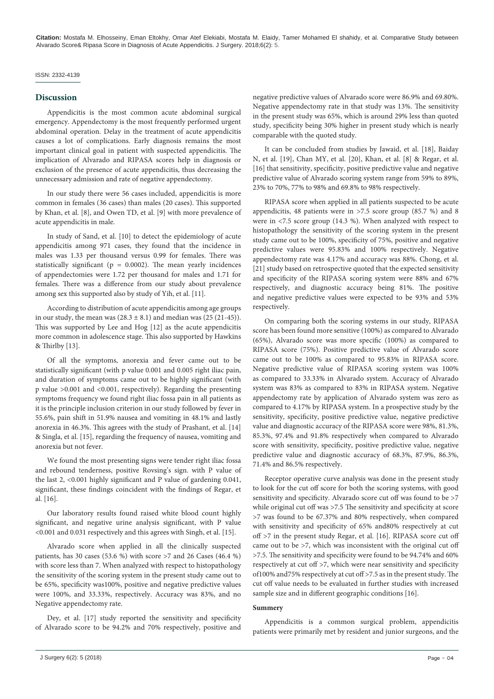## ISSN: 2332-4139

# **Discussion**

Appendicitis is the most common acute abdominal surgical emergency. Appendectomy is the most frequently performed urgent abdominal operation. Delay in the treatment of acute appendicitis causes a lot of complications. Early diagnosis remains the most important clinical goal in patient with suspected appendicitis. The implication of Alvarado and RIPASA scores help in diagnosis or exclusion of the presence of acute appendicitis, thus decreasing the unnecessary admission and rate of negative appendectomy.

In our study there were 56 cases included, appendicitis is more common in females (36 cases) than males (20 cases). This supported by Khan, et al. [8], and Owen TD, et al. [9] with more prevalence of acute appendicitis in male.

In study of Sand, et al. [10] to detect the epidemiology of acute appendicitis among 971 cases, they found that the incidence in males was 1.33 per thousand versus 0.99 for females. There was statistically significant ( $p = 0.0002$ ). The mean yearly incidences of appendectomies were 1.72 per thousand for males and 1.71 for females. There was a difference from our study about prevalence among sex this supported also by study of Yih, et al. [11].

According to distribution of acute appendicitis among age groups in our study, the mean was  $(28.3 \pm 8.1)$  and median was  $(25 (21-45)).$ This was supported by Lee and Hog [12] as the acute appendicitis more common in adolescence stage. This also supported by Hawkins & Thirlby [13].

Of all the symptoms, anorexia and fever came out to be statistically significant (with p value 0.001 and 0.005 right iliac pain, and duration of symptoms came out to be highly significant (with p value >0.001 and <0.001, respectively). Regarding the presenting symptoms frequency we found right iliac fossa pain in all patients as it is the principle inclusion criterion in our study followed by fever in 55.6%, pain shift in 51.9% nausea and vomiting in 48.1% and lastly anorexia in 46.3%. This agrees with the study of Prashant, et al. [14] & Singla, et al. [15], regarding the frequency of nausea, vomiting and anorexia but not fever.

We found the most presenting signs were tender right iliac fossa and rebound tenderness, positive Rovsing's sign. with P value of the last 2, <0.001 highly significant and P value of gardening 0.041, significant, these findings coincident with the findings of Regar, et al. [16].

Our laboratory results found raised white blood count highly significant, and negative urine analysis significant, with P value <0.001 and 0.031 respectively and this agrees with Singh, et al. [15].

Alvarado score when applied in all the clinically suspected patients, has 30 cases (53.6 %) with score >7 and 26 Cases (46.4 %) with score less than 7. When analyzed with respect to histopathology the sensitivity of the scoring system in the present study came out to be 65%, specificity was100%, positive and negative predictive values were 100%, and 33.33%, respectively. Accuracy was 83%, and no Negative appendectomy rate.

Dey, et al. [17] study reported the sensitivity and specificity of Alvarado score to be 94.2% and 70% respectively, positive and negative predictive values of Alvarado score were 86.9% and 69.80%. Negative appendectomy rate in that study was 13%. The sensitivity in the present study was 65%, which is around 29% less than quoted study, specificity being 30% higher in present study which is nearly comparable with the quoted study.

It can be concluded from studies by Jawaid, et al. [18], Baiday N, et al. [19], Chan MY, et al. [20], Khan, et al. [8] & Regar, et al. [16] that sensitivity, specificity, positive predictive value and negative predictive value of Alvarado scoring system range from 59% to 89%, 23% to 70%, 77% to 98% and 69.8% to 98% respectively.

RIPASA score when applied in all patients suspected to be acute appendicitis, 48 patients were in >7.5 score group (85.7 %) and 8 were in <7.5 score group (14.3 %). When analyzed with respect to histopathology the sensitivity of the scoring system in the present study came out to be 100%, specificity of 75%, positive and negative predictive values were 95.83% and 100% respectively. Negative appendectomy rate was 4.17% and accuracy was 88%. Chong, et al. [21] study based on retrospective quoted that the expected sensitivity and specificity of the RIPASA scoring system were 88% and 67% respectively, and diagnostic accuracy being 81%. The positive and negative predictive values were expected to be 93% and 53% respectively.

On comparing both the scoring systems in our study, RIPASA score has been found more sensitive (100%) as compared to Alvarado (65%), Alvarado score was more specific (100%) as compared to RIPASA score (75%). Positive predictive value of Alvarado score came out to be 100% as compared to 95.83% in RIPASA score. Negative predictive value of RIPASA scoring system was 100% as compared to 33.33% in Alvarado system. Accuracy of Alvarado system was 83% as compared to 83% in RIPASA system. Negative appendectomy rate by application of Alvarado system was zero as compared to 4.17% by RIPASA system. In a prospective study by the sensitivity, specificity, positive predictive value, negative predictive value and diagnostic accuracy of the RIPASA score were 98%, 81.3%, 85.3%, 97.4% and 91.8% respectively when compared to Alvarado score with sensitivity, specificity, positive predictive value, negative predictive value and diagnostic accuracy of 68.3%, 87.9%, 86.3%, 71.4% and 86.5% respectively.

Receptor operative curve analysis was done in the present study to look for the cut off score for both the scoring systems, with good sensitivity and specificity. Alvarado score cut off was found to be >7 while original cut off was >7.5 The sensitivity and specificity at score >7 was found to be 67.37% and 80% respectively, when compared with sensitivity and specificity of 65% and80% respectively at cut off >7 in the present study Regar, et al. [16]. RIPASA score cut off came out to be >7, which was inconsistent with the original cut off >7.5. The sensitivity and specificity were found to be 94.74% and 60% respectively at cut off >7, which were near sensitivity and specificity of100% and75% respectively at cut off >7.5 as in the present study. The cut off value needs to be evaluated in further studies with increased sample size and in different geographic conditions [16].

## **Summery**

Appendicitis is a common surgical problem, appendicitis patients were primarily met by resident and junior surgeons, and the